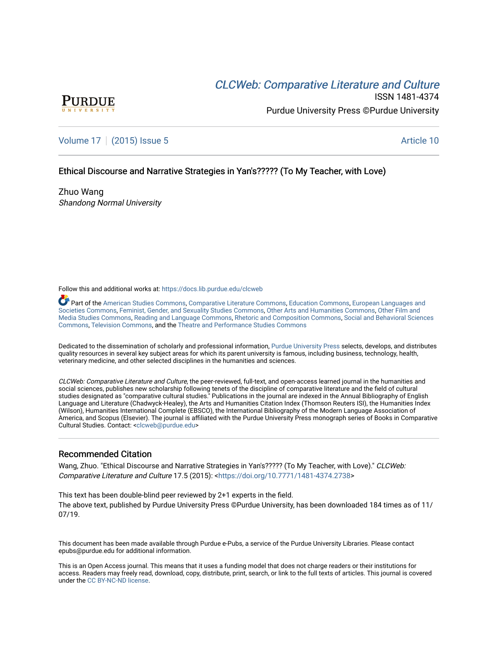# **CLCW[eb: Comparative Liter](https://docs.lib.purdue.edu/clcweb)ature and Culture**



ISSN 1481-4374 Purdue University Press ©Purdue University

## [Volume 17](https://docs.lib.purdue.edu/clcweb/vol17) | [\(2015\) Issue 5](https://docs.lib.purdue.edu/clcweb/vol17/iss5) Article 10

## Ethical Discourse and Narrative Strategies in Yan's????? (To My Teacher, with Love)

Zhuo Wang Shandong Normal University

Follow this and additional works at: [https://docs.lib.purdue.edu/clcweb](https://docs.lib.purdue.edu/clcweb?utm_source=docs.lib.purdue.edu%2Fclcweb%2Fvol17%2Fiss5%2F10&utm_medium=PDF&utm_campaign=PDFCoverPages)

Part of the [American Studies Commons](http://network.bepress.com/hgg/discipline/439?utm_source=docs.lib.purdue.edu%2Fclcweb%2Fvol17%2Fiss5%2F10&utm_medium=PDF&utm_campaign=PDFCoverPages), [Comparative Literature Commons,](http://network.bepress.com/hgg/discipline/454?utm_source=docs.lib.purdue.edu%2Fclcweb%2Fvol17%2Fiss5%2F10&utm_medium=PDF&utm_campaign=PDFCoverPages) [Education Commons,](http://network.bepress.com/hgg/discipline/784?utm_source=docs.lib.purdue.edu%2Fclcweb%2Fvol17%2Fiss5%2F10&utm_medium=PDF&utm_campaign=PDFCoverPages) [European Languages and](http://network.bepress.com/hgg/discipline/482?utm_source=docs.lib.purdue.edu%2Fclcweb%2Fvol17%2Fiss5%2F10&utm_medium=PDF&utm_campaign=PDFCoverPages) [Societies Commons](http://network.bepress.com/hgg/discipline/482?utm_source=docs.lib.purdue.edu%2Fclcweb%2Fvol17%2Fiss5%2F10&utm_medium=PDF&utm_campaign=PDFCoverPages), [Feminist, Gender, and Sexuality Studies Commons,](http://network.bepress.com/hgg/discipline/559?utm_source=docs.lib.purdue.edu%2Fclcweb%2Fvol17%2Fiss5%2F10&utm_medium=PDF&utm_campaign=PDFCoverPages) [Other Arts and Humanities Commons](http://network.bepress.com/hgg/discipline/577?utm_source=docs.lib.purdue.edu%2Fclcweb%2Fvol17%2Fiss5%2F10&utm_medium=PDF&utm_campaign=PDFCoverPages), [Other Film and](http://network.bepress.com/hgg/discipline/565?utm_source=docs.lib.purdue.edu%2Fclcweb%2Fvol17%2Fiss5%2F10&utm_medium=PDF&utm_campaign=PDFCoverPages)  [Media Studies Commons](http://network.bepress.com/hgg/discipline/565?utm_source=docs.lib.purdue.edu%2Fclcweb%2Fvol17%2Fiss5%2F10&utm_medium=PDF&utm_campaign=PDFCoverPages), [Reading and Language Commons](http://network.bepress.com/hgg/discipline/1037?utm_source=docs.lib.purdue.edu%2Fclcweb%2Fvol17%2Fiss5%2F10&utm_medium=PDF&utm_campaign=PDFCoverPages), [Rhetoric and Composition Commons,](http://network.bepress.com/hgg/discipline/573?utm_source=docs.lib.purdue.edu%2Fclcweb%2Fvol17%2Fiss5%2F10&utm_medium=PDF&utm_campaign=PDFCoverPages) [Social and Behavioral Sciences](http://network.bepress.com/hgg/discipline/316?utm_source=docs.lib.purdue.edu%2Fclcweb%2Fvol17%2Fiss5%2F10&utm_medium=PDF&utm_campaign=PDFCoverPages) [Commons,](http://network.bepress.com/hgg/discipline/316?utm_source=docs.lib.purdue.edu%2Fclcweb%2Fvol17%2Fiss5%2F10&utm_medium=PDF&utm_campaign=PDFCoverPages) [Television Commons,](http://network.bepress.com/hgg/discipline/1143?utm_source=docs.lib.purdue.edu%2Fclcweb%2Fvol17%2Fiss5%2F10&utm_medium=PDF&utm_campaign=PDFCoverPages) and the [Theatre and Performance Studies Commons](http://network.bepress.com/hgg/discipline/552?utm_source=docs.lib.purdue.edu%2Fclcweb%2Fvol17%2Fiss5%2F10&utm_medium=PDF&utm_campaign=PDFCoverPages)

Dedicated to the dissemination of scholarly and professional information, [Purdue University Press](http://www.thepress.purdue.edu/) selects, develops, and distributes quality resources in several key subject areas for which its parent university is famous, including business, technology, health, veterinary medicine, and other selected disciplines in the humanities and sciences.

CLCWeb: Comparative Literature and Culture, the peer-reviewed, full-text, and open-access learned journal in the humanities and social sciences, publishes new scholarship following tenets of the discipline of comparative literature and the field of cultural studies designated as "comparative cultural studies." Publications in the journal are indexed in the Annual Bibliography of English Language and Literature (Chadwyck-Healey), the Arts and Humanities Citation Index (Thomson Reuters ISI), the Humanities Index (Wilson), Humanities International Complete (EBSCO), the International Bibliography of the Modern Language Association of America, and Scopus (Elsevier). The journal is affiliated with the Purdue University Press monograph series of Books in Comparative Cultural Studies. Contact: [<clcweb@purdue.edu](mailto:clcweb@purdue.edu)>

### Recommended Citation

Wang, Zhuo. "Ethical Discourse and Narrative Strategies in Yan's????? (To My Teacher, with Love)." CLCWeb: Comparative Literature and Culture 17.5 (2015): <<https://doi.org/10.7771/1481-4374.2738>>

This text has been double-blind peer reviewed by 2+1 experts in the field. The above text, published by Purdue University Press ©Purdue University, has been downloaded 184 times as of 11/ 07/19.

This document has been made available through Purdue e-Pubs, a service of the Purdue University Libraries. Please contact epubs@purdue.edu for additional information.

This is an Open Access journal. This means that it uses a funding model that does not charge readers or their institutions for access. Readers may freely read, download, copy, distribute, print, search, or link to the full texts of articles. This journal is covered under the [CC BY-NC-ND license.](https://creativecommons.org/licenses/by-nc-nd/4.0/)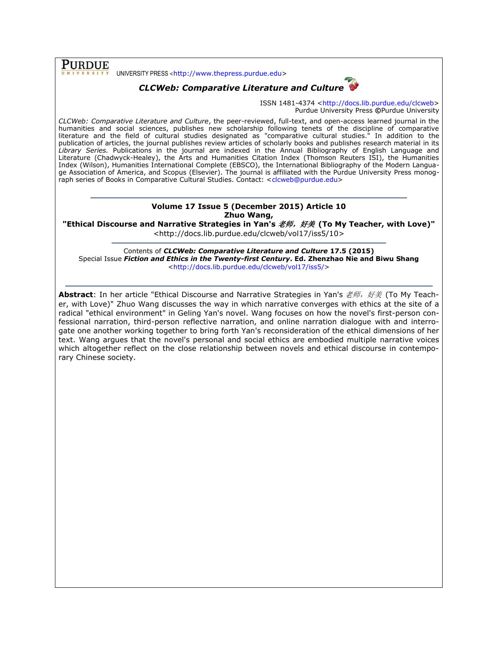**PURDUE** UNIVERSITY PRESS <[http://www.thepress.purdue.edu>](http://www.thepress.purdue.edu/)



ISSN 1481-4374 [<http://docs.lib.purdue.edu/clcweb>](http://docs.lib.purdue.edu/clcweb) Purdue University Press **©**Purdue University

*CLCWeb: Comparative Literature and Culture*, the peer-reviewed, full-text, and open-access learned journal in the humanities and social sciences, publishes new scholarship following tenets of the discipline of comparative literature and the field of cultural studies designated as "comparative cultural studies." In addition to the publication of articles, the journal publishes review articles of scholarly books and publishes research material in its *Library Series.* Publications in the journal are indexed in the Annual Bibliography of English Language and Literature (Chadwyck-Healey), the Arts and Humanities Citation Index (Thomson Reuters ISI), the Humanities Index (Wilson), Humanities International Complete (EBSCO), the International Bibliography of the Modern Language Association of America, and Scopus (Elsevier). The journal is affiliated with the Purdue University Press monog-raph series of Books in Comparative Cultural Studies. Contact: [<clcweb@purdue.edu>](mailto:clcweb@purdue.edu)

#### **Volume 17 Issue 5 (December 2015) Article 10 Zhuo Wang,**

"Ethical Discourse and Narrative Strategies in Yan's *老师,好美* (To My Teacher, with Love)" <http://docs.lib.purdue.edu/clcweb/vol17/iss5/10>

Contents of *CLCWeb: Comparative Literature and Culture* **17.5 (2015)** Special Issue *Fiction and Ethics in the Twenty-first Century***. Ed. Zhenzhao Nie and Biwu Shang** [<http://docs.lib.purdue.edu/clcweb/vol17/iss5/>](http://docs.lib.purdue.edu/clcweb/vol17/iss5/)

**Abstract**: In her article "Ethical Discourse and Narrative Strategies in Yan's *老师, 好美* (To My Teacher, with Love)" Zhuo Wang discusses the way in which narrative converges with ethics at the site of a radical "ethical environment" in Geling Yan's novel. Wang focuses on how the novel's first-person confessional narration, third-person reflective narration, and online narration dialogue with and interrogate one another working together to bring forth Yan's reconsideration of the ethical dimensions of her text. Wang argues that the novel's personal and social ethics are embodied multiple narrative voices which altogether reflect on the close relationship between novels and ethical discourse in contemporary Chinese society.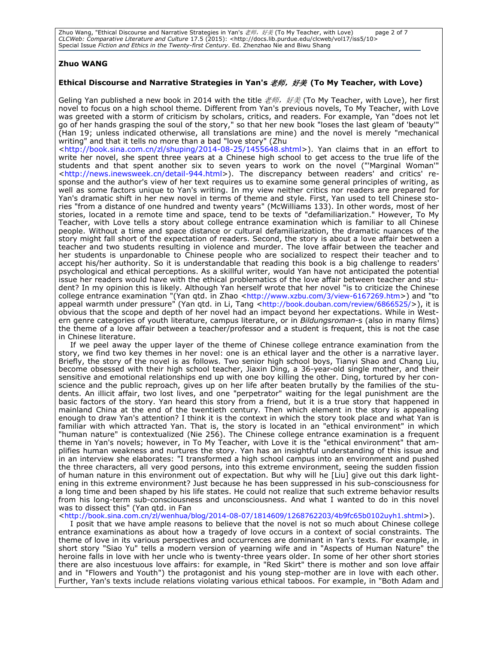Zhuo Wang, "Ethical Discourse and Narrative Strategies in Yan's 老师,好美 (To My Teacher, with Love) page 2 of 7 *CLCWeb: Comparative Literature and Culture* 17.5 (2015): <http://docs.lib.purdue.edu/clcweb/vol17/iss5/10> Special Issue *Fiction and Ethics in the Twenty-first Century*. Ed. Zhenzhao Nie and Biwu Shang

#### **Zhuo WANG**

#### **Ethical Discourse and Narrative Strategies in Yan's** 老师,好美 **(To My Teacher, with Love)**

Geling Yan published a new book in 2014 with the title  $\nexists \vec{m}$ , 好美 (To My Teacher, with Love), her first novel to focus on a high school theme. Different from Yan's previous novels, To My Teacher, with Love was greeted with a storm of criticism by scholars, critics, and readers. For example, Yan "does not let go of her hands grasping the soul of the story," so that her new book "loses the last gleam of 'beauty'" (Han 19; unless indicated otherwise, all translations are mine) and the novel is merely "mechanical writing" and that it tells no more than a bad "love story" (Zhu

[<http://book.sina.com.cn/zl/shuping/2014-08-25/1455648.shtml>](http://book.sina.com.cn/zl/shuping/2014-08-25/1455648.shtml)). Yan claims that in an effort to write her novel, she spent three years at a Chinese high school to get access to the true life of the students and that spent another six to seven years to work on the novel ("'Marginal Woman'" [<http://news.inewsweek.cn/detail-944.html>](http://news.inewsweek.cn/detail-944.html)). The discrepancy between readers' and critics' response and the author's view of her text requires us to examine some general principles of writing, as well as some factors unique to Yan's writing. In my view neither critics nor readers are prepared for Yan's dramatic shift in her new novel in terms of theme and style. First, Yan used to tell Chinese stories "from a distance of one hundred and twenty years" (McWilliams 133). In other words, most of her stories, located in a remote time and space, tend to be texts of "defamiliarization." However, To My Teacher, with Love tells a story about college entrance examination which is familiar to all Chinese people. Without a time and space distance or cultural defamiliarization, the dramatic nuances of the story might fall short of the expectation of readers. Second, the story is about a love affair between a teacher and two students resulting in violence and murder. The love affair between the teacher and her students is unpardonable to Chinese people who are socialized to respect their teacher and to accept his/her authority. So it is understandable that reading this book is a big challenge to readers' psychological and ethical perceptions. As a skillful writer, would Yan have not anticipated the potential issue her readers would have with the ethical problematics of the love affair between teacher and student? In my opinion this is likely. Although Yan herself wrote that her novel "is to criticize the Chinese college entrance examination "(Yan qtd. in Zhao <<http://www.xzbu.com/3/view-6167269.htm>>) and "to appeal warmth under pressure" (Yan qtd. in Li, Tang <<http://book.douban.com/review/6866525/>>), it is obvious that the scope and depth of her novel had an impact beyond her expectations. While in Western genre categories of youth literature, campus literature, or in *Bildungsroman*-s (also in many films) the theme of a love affair between a teacher/professor and a student is frequent, this is not the case in Chinese literature.

If we peel away the upper layer of the theme of Chinese college entrance examination from the story, we find two key themes in her novel: one is an ethical layer and the other is a narrative layer. Briefly, the story of the novel is as follows. Two senior high school boys, Tianyi Shao and Chang Liu, become obsessed with their high school teacher, Jiaxin Ding, a 36-year-old single mother, and their sensitive and emotional relationships end up with one boy killing the other. Ding, tortured by her conscience and the public reproach, gives up on her life after beaten brutally by the families of the students. An illicit affair, two lost lives, and one "perpetrator" waiting for the legal punishment are the basic factors of the story. Yan heard this story from a friend, but it is a true story that happened in mainland China at the end of the twentieth century. Then which element in the story is appealing enough to draw Yan's attention? I think it is the context in which the story took place and what Yan is familiar with which attracted Yan. That is, the story is located in an "ethical environment" in which "human nature" is contextualized (Nie 256). The Chinese college entrance examination is a frequent theme in Yan's novels; however, in To My Teacher, with Love it is the "ethical environment" that amplifies human weakness and nurtures the story. Yan has an insightful understanding of this issue and in an interview she elaborates: "I transformed a high school campus into an environment and pushed the three characters, all very good persons, into this extreme environment, seeing the sudden fission of human nature in this environment out of expectation. But why will he [Liu] give out this dark lightening in this extreme environment? Just because he has been suppressed in his sub-consciousness for a long time and been shaped by his life states. He could not realize that such extreme behavior results from his long-term sub-consciousness and unconsciousness. And what I wanted to do in this novel was to dissect this" (Yan qtd. in Fan

<<http://book.sina.com.cn/zl/wenhua/blog/2014-08-07/1814609/1268762203/4b9fc65b0102uyh1.shtml>>).

I posit that we have ample reasons to believe that the novel is not so much about Chinese college entrance examinations as about how a tragedy of love occurs in a context of social constraints. The theme of love in its various perspectives and occurrences are dominant in Yan's texts. For example, in short story "Siao Yu" tells a modern version of yearning wife and in "Aspects of Human Nature" the heroine falls in love with her uncle who is twenty-three years older. In some of her other short stories there are also incestuous love affairs: for example, in "Red Skirt" there is mother and son love affair and in "Flowers and Youth") the protagonist and his young step-mother are in love with each other. Further, Yan's texts include relations violating various ethical taboos. For example, in "Both Adam and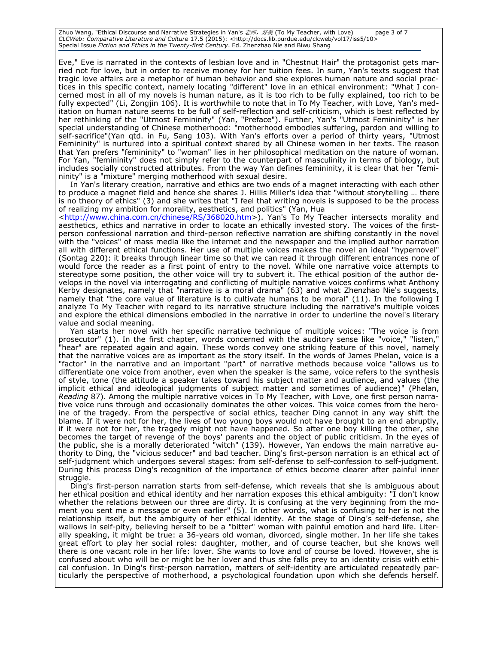Zhuo Wang, "Ethical Discourse and Narrative Strategies in Yan's 老师,好美 (To My Teacher, with Love) page 3 of 7 *CLCWeb: Comparative Literature and Culture* 17.5 (2015): <http://docs.lib.purdue.edu/clcweb/vol17/iss5/10> Special Issue *Fiction and Ethics in the Twenty-first Century*. Ed. Zhenzhao Nie and Biwu Shang

Eve," Eve is narrated in the contexts of lesbian love and in "Chestnut Hair" the protagonist gets married not for love, but in order to receive money for her tuition fees. In sum, Yan's texts suggest that tragic love affairs are a metaphor of human behavior and she explores human nature and social practices in this specific context, namely locating "different" love in an ethical environment: "What I concerned most in all of my novels is human nature, as it is too rich to be fully explained, too rich to be fully expected" (Li, Zongjin 106). It is worthwhile to note that in To My Teacher, with Love, Yan's meditation on human nature seems to be full of self-reflection and self-criticism, which is best reflected by her rethinking of the "Utmost Femininity" (Yan, "Preface"). Further, Yan's "Utmost Femininity" is her special understanding of Chinese motherhood: "motherhood embodies suffering, pardon and willing to self-sacrifice"(Yan qtd. in Fu, Sang 103). With Yan's efforts over a period of thirty years, "Utmost Femininity" is nurtured into a spiritual context shared by all Chinese women in her texts. The reason that Yan prefers "femininity" to "woman" lies in her philosophical meditation on the nature of woman. For Yan, "femininity" does not simply refer to the counterpart of masculinity in terms of biology, but includes socially constructed attributes. From the way Yan defines femininity, it is clear that her "femininity" is a "mixture" merging motherhood with sexual desire.

In Yan's literary creation, narrative and ethics are two ends of a magnet interacting with each other to produce a magnet field and hence she shares J. Hillis Miller's idea that "without storytelling … there is no theory of ethics" (3) and she writes that "I feel that writing novels is supposed to be the process of realizing my ambition for morality, aesthetics, and politics" (Yan, Hua

[<http://www.china.com.cn/chinese/RS/368020.htm>](http://www.china.com.cn/chinese/RS/368020.htm)). Yan's To My Teacher intersects morality and aesthetics, ethics and narrative in order to locate an ethically invested story. The voices of the firstperson confessional narration and third-person reflective narration are shifting constantly in the novel with the "voices" of mass media like the internet and the newspaper and the implied author narration all with different ethical functions. Her use of multiple voices makes the novel an ideal "hypernovel" (Sontag 220): it breaks through linear time so that we can read it through different entrances none of would force the reader as a first point of entry to the novel. While one narrative voice attempts to stereotype some position, the other voice will try to subvert it. The ethical position of the author develops in the novel via interrogating and conflicting of multiple narrative voices confirms what Anthony Kerby designates, namely that "narrative is a moral drama" (63) and what Zhenzhao Nie's suggests, namely that "the core value of literature is to cultivate humans to be moral" (11). In the following I analyze To My Teacher with regard to its narrative structure including the narrative's multiple voices and explore the ethical dimensions embodied in the narrative in order to underline the novel's literary value and social meaning.

Yan starts her novel with her specific narrative technique of multiple voices: "The voice is from prosecutor" (1). In the first chapter, words concerned with the auditory sense like "voice," "listen," "hear" are repeated again and again. These words convey one striking feature of this novel, namely that the narrative voices are as important as the story itself. In the words of James Phelan, voice is a "factor" in the narrative and an important "part" of narrative methods because voice "allows us to differentiate one voice from another, even when the speaker is the same, voice refers to the synthesis of style, tone (the attitude a speaker takes toward his subject matter and audience, and values (the implicit ethical and ideological judgments of subject matter and sometimes of audience)" (Phelan, *Reading* 87). Among the multiple narrative voices in To My Teacher, with Love, one first person narrative voice runs through and occasionally dominates the other voices. This voice comes from the heroine of the tragedy. From the perspective of social ethics, teacher Ding cannot in any way shift the blame. If it were not for her, the lives of two young boys would not have brought to an end abruptly, if it were not for her, the tragedy might not have happened. So after one boy killing the other, she becomes the target of revenge of the boys' parents and the object of public criticism. In the eyes of the public, she is a morally deteriorated "witch" (139). However, Yan endows the main narrative authority to Ding, the "vicious seducer" and bad teacher. Ding's first-person narration is an ethical act of self-judgment which undergoes several stages: from self-defense to self-confession to self-judgment. During this process Ding's recognition of the importance of ethics become clearer after painful inner struggle.

Ding's first-person narration starts from self-defense, which reveals that she is ambiguous about her ethical position and ethical identity and her narration exposes this ethical ambiguity: "I don't know whether the relations between our three are dirty. It is confusing at the very beginning from the moment you sent me a message or even earlier" (5). In other words, what is confusing to her is not the relationship itself, but the ambiguity of her ethical identity. At the stage of Ding's self-defense, she wallows in self-pity, believing herself to be a "bitter" woman with painful emotion and hard life. Literally speaking, it might be true: a 36-years old woman, divorced, single mother. In her life she takes great effort to play her social roles: daughter, mother, and of course teacher, but she knows well there is one vacant role in her life: lover. She wants to love and of course be loved. However, she is confused about who will be or might be her lover and thus she falls prey to an identity crisis with ethical confusion. In Ding's first-person narration, matters of self-identity are articulated repeatedly particularly the perspective of motherhood, a psychological foundation upon which she defends herself.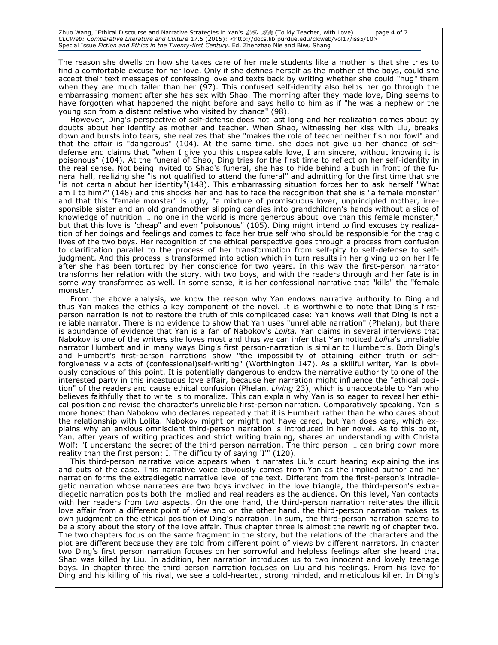Zhuo Wang, "Ethical Discourse and Narrative Strategies in Yan's 老师,好美 (To My Teacher, with Love) page 4 of 7 *CLCWeb: Comparative Literature and Culture* 17.5 (2015): <http://docs.lib.purdue.edu/clcweb/vol17/iss5/10> Special Issue *Fiction and Ethics in the Twenty-first Century*. Ed. Zhenzhao Nie and Biwu Shang

The reason she dwells on how she takes care of her male students like a mother is that she tries to find a comfortable excuse for her love. Only if she defines herself as the mother of the boys, could she accept their text messages of confessing love and texts back by writing whether she could "hug" them when they are much taller than her (97). This confused self-identity also helps her go through the embarrassing moment after she has sex with Shao. The morning after they made love, Ding seems to have forgotten what happened the night before and says hello to him as if "he was a nephew or the young son from a distant relative who visited by chance" (98).

However, Ding's perspective of self-defense does not last long and her realization comes about by doubts about her identity as mother and teacher. When Shao, witnessing her kiss with Liu, breaks down and bursts into tears, she realizes that she "makes the role of teacher neither fish nor fowl" and that the affair is "dangerous" (104). At the same time, she does not give up her chance of selfdefense and claims that "when I give you this unspeakable love, I am sincere, without knowing it is poisonous" (104). At the funeral of Shao, Ding tries for the first time to reflect on her self-identity in the real sense. Not being invited to Shao's funeral, she has to hide behind a bush in front of the funeral hall, realizing she "is not qualified to attend the funeral" and admitting for the first time that she "is not certain about her identity"(148). This embarrassing situation forces her to ask herself "What am I to him?" (148) and this shocks her and has to face the recognition that she is "a female monster" and that this "female monster" is ugly, "a mixture of promiscuous lover, unprincipled mother, irresponsible sister and an old grandmother slipping candies into grandchildren's hands without a slice of knowledge of nutrition ... no one in the world is more generous about love than this female monster, but that this love is "cheap" and even "poisonous" (105). Ding might intend to find excuses by realization of her doings and feelings and comes to face her true self who should be responsible for the tragic lives of the two boys. Her recognition of the ethical perspective goes through a process from confusion to clarification parallel to the process of her transformation from self-pity to self-defense to selfjudgment. And this process is transformed into action which in turn results in her giving up on her life after she has been tortured by her conscience for two years. In this way the first-person narrator transforms her relation with the story, with two boys, and with the readers through and her fate is in some way transformed as well. In some sense, it is her confessional narrative that "kills" the "female monster.

From the above analysis, we know the reason why Yan endows narrative authority to Ding and thus Yan makes the ethics a key component of the novel. It is worthwhile to note that Ding's firstperson narration is not to restore the truth of this complicated case: Yan knows well that Ding is not a reliable narrator. There is no evidence to show that Yan uses "unreliable narration" (Phelan), but there is abundance of evidence that Yan is a fan of Nabokov's *Lolita.* Yan claims in several interviews that Nabokov is one of the writers she loves most and thus we can infer that Yan noticed *Lolita*'s unreliable narrator Humbert and in many ways Ding's first person-narration is similar to Humbert's. Both Ding's and Humbert's first-person narrations show "the impossibility of attaining either truth or selfforgiveness via acts of (confessional)self-writing" (Worthington 147). As a skillful writer, Yan is obviously conscious of this point. It is potentially dangerous to endow the narrative authority to one of the interested party in this incestuous love affair, because her narration might influence the "ethical position" of the readers and cause ethical confusion (Phelan, *Living* 23), which is unacceptable to Yan who believes faithfully that to write is to moralize. This can explain why Yan is so eager to reveal her ethical position and revise the character's unreliable first-person narration. Comparatively speaking, Yan is more honest than Nabokov who declares repeatedly that it is Humbert rather than he who cares about the relationship with Lolita. Nabokov might or might not have cared, but Yan does care, which explains why an anxious omniscient third-person narration is introduced in her novel. As to this point, Yan, after years of writing practices and strict writing training, shares an understanding with Christa Wolf: "I understand the secret of the third person narration. The third person ... can bring down more reality than the first person: I. The difficulty of saying 'I'" (120).

This third-person narrative voice appears when it narrates Liu's court hearing explaining the ins and outs of the case. This narrative voice obviously comes from Yan as the implied author and her narration forms the extradiegetic narrative level of the text. Different from the first-person's intradiegetic narration whose narratees are two boys involved in the love triangle, the third-person's extradiegetic narration posits both the implied and real readers as the audience. On this level, Yan contacts with her readers from two aspects. On the one hand, the third-person narration reiterates the illicit love affair from a different point of view and on the other hand, the third-person narration makes its own judgment on the ethical position of Ding's narration. In sum, the third-person narration seems to be a story about the story of the love affair. Thus chapter three is almost the rewriting of chapter two. The two chapters focus on the same fragment in the story, but the relations of the characters and the plot are different because they are told from different point of views by different narrators. In chapter two Ding's first person narration focuses on her sorrowful and helpless feelings after she heard that Shao was killed by Liu. In addition, her narration introduces us to two innocent and lovely teenage boys. In chapter three the third person narration focuses on Liu and his feelings. From his love for Ding and his killing of his rival, we see a cold-hearted, strong minded, and meticulous killer. In Ding's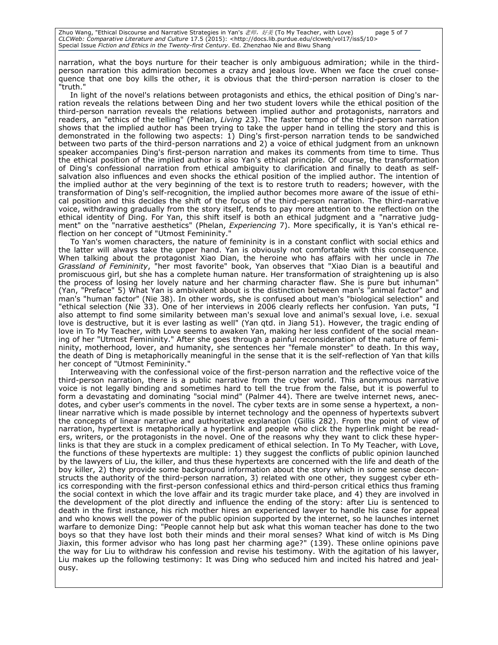Zhuo Wang, "Ethical Discourse and Narrative Strategies in Yan's 老师,好美 (To My Teacher, with Love) page 5 of 7 *CLCWeb: Comparative Literature and Culture* 17.5 (2015): <http://docs.lib.purdue.edu/clcweb/vol17/iss5/10> Special Issue *Fiction and Ethics in the Twenty-first Century*. Ed. Zhenzhao Nie and Biwu Shang

narration, what the boys nurture for their teacher is only ambiguous admiration; while in the thirdperson narration this admiration becomes a crazy and jealous love. When we face the cruel consequence that one boy kills the other, it is obvious that the third-person narration is closer to the "truth."

In light of the novel's relations between protagonists and ethics, the ethical position of Ding's narration reveals the relations between Ding and her two student lovers while the ethical position of the third-person narration reveals the relations between implied author and protagonists, narrators and readers, an "ethics of the telling" (Phelan, *Living* 23). The faster tempo of the third-person narration shows that the implied author has been trying to take the upper hand in telling the story and this is demonstrated in the following two aspects: 1) Ding's first-person narration tends to be sandwiched between two parts of the third-person narrations and 2) a voice of ethical judgment from an unknown speaker accompanies Ding's first-person narration and makes its comments from time to time. Thus the ethical position of the implied author is also Yan's ethical principle. Of course, the transformation of Ding's confessional narration from ethical ambiguity to clarification and finally to death as selfsalvation also influences and even shocks the ethical position of the implied author. The intention of the implied author at the very beginning of the text is to restore truth to readers; however, with the transformation of Ding's self-recognition, the implied author becomes more aware of the issue of ethical position and this decides the shift of the focus of the third-person narration. The third-narrative voice, withdrawing gradually from the story itself, tends to pay more attention to the reflection on the ethical identity of Ding. For Yan, this shift itself is both an ethical judgment and a "narrative judgment" on the "narrative aesthetics" (Phelan, *Experiencing* 7). More specifically, it is Yan's ethical reflection on her concept of "Utmost Femininity."

To Yan's women characters, the nature of femininity is in a constant conflict with social ethics and the latter will always take the upper hand. Yan is obviously not comfortable with this consequence. When talking about the protagonist Xiao Dian, the heroine who has affairs with her uncle in *The Grassland of Femininity*, "her most favorite" book, Yan observes that "Xiao Dian is a beautiful and promiscuous girl, but she has a complete human nature. Her transformation of straightening up is also the process of losing her lovely nature and her charming character flaw. She is pure but inhuman" (Yan, "Preface" 5) What Yan is ambivalent about is the distinction between man's "animal factor" and man's "human factor" (Nie 38). In other words, she is confused about man's "biological selection" and "ethical selection (Nie 33). One of her interviews in 2006 clearly reflects her confusion. Yan puts, "I also attempt to find some similarity between man's sexual love and animal's sexual love, i.e. sexual love is destructive, but it is ever lasting as well" (Yan qtd. in Jiang 51). However, the tragic ending of love in To My Teacher, with Love seems to awaken Yan, making her less confident of the social meaning of her "Utmost Femininity." After she goes through a painful reconsideration of the nature of femininity, motherhood, lover, and humanity, she sentences her "female monster" to death. In this way, the death of Ding is metaphorically meaningful in the sense that it is the self-reflection of Yan that kills her concept of "Utmost Femininity."

Interweaving with the confessional voice of the first-person narration and the reflective voice of the third-person narration, there is a public narrative from the cyber world. This anonymous narrative voice is not legally binding and sometimes hard to tell the true from the false, but it is powerful to form a devastating and dominating "social mind" (Palmer 44). There are twelve internet news, anecdotes, and cyber user's comments in the novel. The cyber texts are in some sense a hypertext, a nonlinear narrative which is made possible by internet technology and the openness of hypertexts subvert the concepts of linear narrative and authoritative explanation (Gillis 282). From the point of view of narration, hypertext is metaphorically a hyperlink and people who click the hyperlink might be readers, writers, or the protagonists in the novel. One of the reasons why they want to click these hyperlinks is that they are stuck in a complex predicament of ethical selection. In To My Teacher, with Love, the functions of these hypertexts are multiple: 1) they suggest the conflicts of public opinion launched by the lawyers of Liu, the killer, and thus these hypertexts are concerned with the life and death of the boy killer, 2) they provide some background information about the story which in some sense deconstructs the authority of the third-person narration, 3) related with one other, they suggest cyber ethics corresponding with the first-person confessional ethics and third-person critical ethics thus framing the social context in which the love affair and its tragic murder take place, and 4) they are involved in the development of the plot directly and influence the ending of the story: after Liu is sentenced to death in the first instance, his rich mother hires an experienced lawyer to handle his case for appeal and who knows well the power of the public opinion supported by the internet, so he launches internet warfare to demonize Ding: "People cannot help but ask what this woman teacher has done to the two boys so that they have lost both their minds and their moral senses? What kind of witch is Ms Ding Jiaxin, this former advisor who has long past her charming age?" (139). These online opinions pave the way for Liu to withdraw his confession and revise his testimony. With the agitation of his lawyer, Liu makes up the following testimony: It was Ding who seduced him and incited his hatred and jealousy.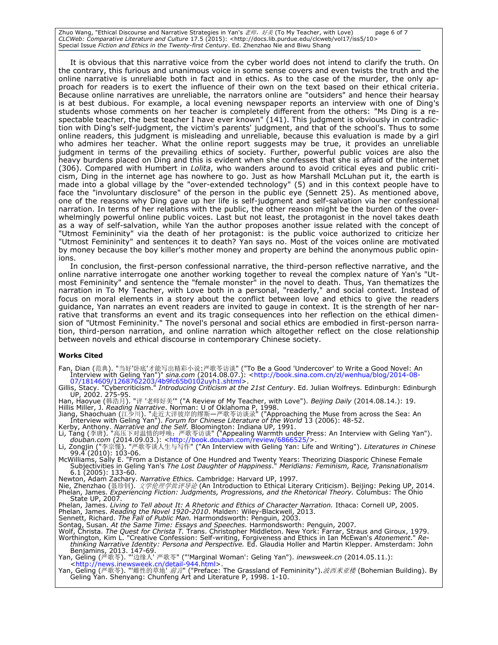Zhuo Wang, "Ethical Discourse and Narrative Strategies in Yan's 老师,好美 (To My Teacher, with Love) page 6 of 7 *CLCWeb: Comparative Literature and Culture* 17.5 (2015): <http://docs.lib.purdue.edu/clcweb/vol17/iss5/10> Special Issue *Fiction and Ethics in the Twenty-first Century*. Ed. Zhenzhao Nie and Biwu Shang

It is obvious that this narrative voice from the cyber world does not intend to clarify the truth. On the contrary, this furious and unanimous voice in some sense covers and even twists the truth and the online narrative is unreliable both in fact and in ethics. As to the case of the murder, the only approach for readers is to exert the influence of their own on the text based on their ethical criteria. Because online narratives are unreliable, the narrators online are "outsiders" and hence their hearsay is at best dubious. For example, a local evening newspaper reports an interview with one of Ding's students whose comments on her teacher is completely different from the others: "Ms Ding is a respectable teacher, the best teacher I have ever known" (141). This judgment is obviously in contradiction with Ding's self-judgment, the victim's parents' judgment, and that of the school's. Thus to some online readers, this judgment is misleading and unreliable, because this evaluation is made by a girl who admires her teacher. What the online report suggests may be true, it provides an unreliable judgment in terms of the prevailing ethics of society. Further, powerful public voices are also the heavy burdens placed on Ding and this is evident when she confesses that she is afraid of the internet (306). Compared with Humbert in *Lolita*, who wanders around to avoid critical eyes and public criticism, Ding in the internet age has nowhere to go. Just as how Marshall McLuhan put it, the earth is made into a global village by the "over-extended technology" (5) and in this context people have to face the "involuntary disclosure" of the person in the public eye (Sennett 25). As mentioned above, one of the reasons why Ding gave up her life is self-judgment and self-salvation via her confessional narration. In terms of her relations with the public, the other reason might be the burden of the overwhelmingly powerful online public voices. Last but not least, the protagonist in the novel takes death as a way of self-salvation, while Yan the author proposes another issue related with the concept of "Utmost Femininity" via the death of her protagonist: is the public voice authorized to criticize her "Utmost Femininity" and sentences it to death? Yan says no. Most of the voices online are motivated by money because the boy killer's mother money and property are behind the anonymous public opinions.

In conclusion, the first-person confessional narrative, the third-person reflective narrative, and the online narrative interrogate one another working together to reveal the complex nature of Yan's "Utmost Femininity" and sentence the "female monster" in the novel to death. Thus, Yan thematizes the narration in To My Teacher, with Love both in a personal, "readerly," and social context*.* Instead of focus on moral elements in a story about the conflict between love and ethics to give the readers guidance, Yan narrates an event readers are invited to gauge in context. It is the strength of her narrative that transforms an event and its tragic consequences into her reflection on the ethical dimension of "Utmost Femininity." The novel's personal and social ethics are embodied in first-person narration, third-person narration, and online narration which altogether reflect on the close relationship between novels and ethical discourse in contemporary Chinese society.

#### **Works Cited**

Fan, Dian (范典). "当好'卧底'才能写出精彩小说:严歌苓访谈" ("To Be a Good 'Undercover' to Write a Good Novel: An Interview with Geling Yan")" *sina.com* (2014.08.07.): [<http://book.sina.com.cn/zl/wenhua/blog/2014-08-](http://book.sina.com.cn/zl/wenhua/blog/2014-08-07/1814609/1268762203/4b9fc65b0102uyh1.shtml) [07/1814609/1268762203/4b9fc65b0102uyh1.shtml>](http://book.sina.com.cn/zl/wenhua/blog/2014-08-07/1814609/1268762203/4b9fc65b0102uyh1.shtml).

Gillis, Stacy. "Cybercriticism." *Introducing Criticism at the 21st Century*. Ed. Julian Wolfreys. Edinburgh: Edinburgh UP, 2002. 275-95. Han, Haoyue (韩浩月). "评 '老师好美'" ("A Review of My Teacher, with Love"). *Beijing Daily* (2014.08.14.): 19.

Hillis Miller, J. *Reading Narrative*. Norman: U of Oklahoma P, 1998.<br>Jiang, Shaochuan (江少川). "走近大洋彼岸的缪斯—严歌苓访谈录" ("Approaching the Muse from across the Sea: An<br>Interview with Geling Yan"). *Forum for Chinese Literature of* 

Kerby, Anthony. *Narrative and the Self.* Bloomington: Indiana UP, 1991.<br>Li, Tang (李唐). "高压下对温情的呼唤:严歌苓访谈" ("Appealing Warmth under Press: An Interview with Geling Yan").<br>*douban.com* (2014.09.03.): <http://book.douban.com

99.4 (2010): 103-06. McWilliams, Sally E. "From a Distance of One Hundred and Twenty Years: Theorizing Diasporic Chinese Female

Subjectivities in Geling Yan's *The Lost Daughter of Happiness*." *Meridians: Feminism, Race, Transnationalism* 

6.1 (2005): 133-60.<br>Newton, Adam Zachary. *Narrative Ethics.* Cambridge: Harvard UP, 1997.<br>Nie, Zhenzhao (聂珍钊). *文学伦理学批评导论* (An Introduction to Ethical Literary Criticism). Beijing: Peking UP, 2014. Phelan, James. *Experiencing Fiction: Judgments, Progressions, and the Rhetorical Theory.* Columbus: The Ohio State UP, 2007.

Phelan, James. *Living to Tell about It: A Rhetoric and Ethics of Character Narration.* Ithaca: Cornell UP, 2005.

Phelan, James. *Reading the Novel 1920-2010*. Malden: Wiley-Blackwell, 2013. Sennett, Richard. *The Fall of Public Man.* Harmondsworth: Penguin, 2003.

Sontag, Susan. *At the Same Time: Essays and Speeches.* Harmondsworth: Penguin, 2007.

Wolf, Christa. *The Quest for Christa T.* Trans. Christopher Middleton. New York: Farrar, Straus and Giroux, 1979.<br>Worthington, Kim L. "Creative Confession: Self-writing, Forgiveness and Ethics in Ian McEwan's *Atonement*. *thinking Narrative Identity: Persona and Perspective.* Ed. Glaudia Holler and Martin Klepper. Amsterdam: John

Benjamins, 2013. 147-69. Yan, Geling (严歌苓). "'边缘人' 严歌苓" ("'Marginal Woman': Geling Yan"). *inewsweek.cn* (2014.05.11.):

[<http://news.inewsweek.cn/detail-944.html>](http://news.inewsweek.cn/detail-944.html).<br>Yan, Geling (严歌苓). "'雌性的草地' *前言*" ("Preface: The Grassland of Femininity").*波西米亚楼* (Bohemian Building). By<br>Geling Yan. Shenyang: Chunfeng Art and Literature P, 1998. 1-10.